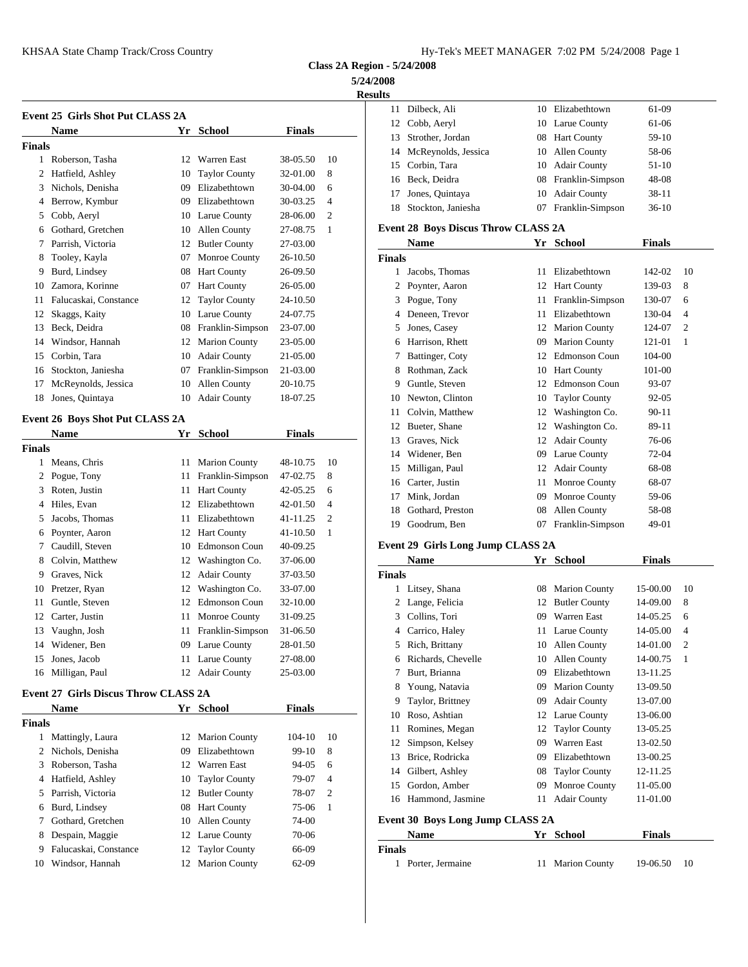|               | KHSAA State Champ Track/Cross Country   |    |                      |               |                                    |                | Hy-Tek's MEET MANAGER 7:02 PM 5/24/2008 Page 1 |    |                      |               |                |
|---------------|-----------------------------------------|----|----------------------|---------------|------------------------------------|----------------|------------------------------------------------|----|----------------------|---------------|----------------|
|               |                                         |    |                      |               | <b>Class 2A Region - 5/24/2008</b> |                |                                                |    |                      |               |                |
|               |                                         |    |                      |               |                                    | 5/24/2008      |                                                |    |                      |               |                |
|               |                                         |    |                      |               |                                    | <b>Results</b> |                                                |    |                      |               |                |
|               | <b>Event 25 Girls Shot Put CLASS 2A</b> |    |                      |               |                                    |                | 11 Dilbeck, Ali                                |    | 10 Elizabethtown     | 61-09         |                |
|               | <b>Name</b>                             |    | Yr School            | <b>Finals</b> |                                    | 12             | Cobb, Aeryl                                    |    | 10 Larue County      | 61-06         |                |
| <b>Finals</b> |                                         |    |                      |               |                                    | 13             | Strother, Jordan                               |    | 08 Hart County       | 59-10         |                |
|               | 1 Roberson, Tasha                       |    | 12 Warren East       | 38-05.50      | 10                                 | 14             | McReynolds, Jessica                            |    | 10 Allen County      | 58-06         |                |
| 2             | Hatfield, Ashley                        | 10 | <b>Taylor County</b> | 32-01.00      | 8                                  | 15             | Corbin, Tara                                   | 10 | <b>Adair County</b>  | $51-10$       |                |
|               | 3 Nichols, Denisha                      | 09 | Elizabethtown        | 30-04.00      | 6                                  | 16             | Beck, Deidra                                   | 08 | Franklin-Simpson     | 48-08         |                |
|               | 4 Berrow, Kymbur                        | 09 | Elizabethtown        | 30-03.25      | $\overline{4}$                     | 17             | Jones, Quintaya                                | 10 | <b>Adair County</b>  | $38 - 11$     |                |
|               | 5 Cobb, Aeryl                           | 10 | Larue County         | 28-06.00      | 2                                  | 18             | Stockton, Janiesha                             |    | 07 Franklin-Simpson  | $36-10$       |                |
| 6             | Gothard, Gretchen                       | 10 | <b>Allen County</b>  | 27-08.75      | 1                                  |                | Event 28 Boys Discus Throw CLASS 2A            |    |                      |               |                |
|               | 7 Parrish, Victoria                     |    | 12 Butler County     | 27-03.00      |                                    |                | Name                                           |    | Yr School            | <b>Finals</b> |                |
| 8             | Tooley, Kayla                           | 07 | Monroe County        | 26-10.50      |                                    | <b>Finals</b>  |                                                |    |                      |               |                |
| 9             | Burd, Lindsey                           | 08 | <b>Hart County</b>   | 26-09.50      |                                    |                | 1 Jacobs, Thomas                               |    | 11 Elizabethtown     | 142-02        | 10             |
| 10            | Zamora, Korinne                         | 07 | <b>Hart County</b>   | 26-05.00      |                                    |                | 2 Poynter, Aaron                               |    | 12 Hart County       | 139-03        | 8              |
| 11            | Falucaskai, Constance                   | 12 | <b>Taylor County</b> | 24-10.50      |                                    |                | 3 Pogue, Tony                                  | 11 | Franklin-Simpson     | 130-07        | 6              |
| 12            | Skaggs, Kaity                           | 10 | Larue County         | 24-07.75      |                                    | 4              | Deneen, Trevor                                 | 11 | Elizabethtown        | 130-04        | $\overline{4}$ |
| 13            | Beck, Deidra                            | 08 | Franklin-Simpson     | 23-07.00      |                                    | 5              | Jones, Casey                                   | 12 | <b>Marion County</b> | 124-07        | $\overline{2}$ |
| 14            | Windsor, Hannah                         |    | 12 Marion County     | 23-05.00      |                                    | 6              | Harrison, Rhett                                | 09 | <b>Marion County</b> | 121-01        | -1             |
| 15            | Corbin, Tara                            | 10 | <b>Adair County</b>  | 21-05.00      |                                    | 7              | Battinger, Coty                                | 12 | <b>Edmonson Coun</b> | 104-00        |                |
| 16            | Stockton, Janiesha                      | 07 | Franklin-Simpson     | 21-03.00      |                                    | 8              | Rothman, Zack                                  |    | 10 Hart County       | 101-00        |                |
| 17            | McReynolds, Jessica                     | 10 | Allen County         | 20-10.75      |                                    | 9              | Guntle, Steven                                 | 12 | <b>Edmonson Coun</b> | 93-07         |                |
| 18            | Jones, Quintaya                         | 10 | <b>Adair County</b>  | 18-07.25      |                                    | 10             | Newton, Clinton                                | 10 | <b>Taylor County</b> | $92 - 05$     |                |
|               |                                         |    |                      |               |                                    | 11             | Colvin, Matthew                                | 12 | Washington Co.       | $90 - 11$     |                |
|               | Event 26 Boys Shot Put CLASS 2A         |    |                      |               |                                    | 12             | Bueter, Shane                                  | 12 | Washington Co.       | 89-11         |                |
|               | <b>Name</b>                             |    | Yr School            | <b>Finals</b> |                                    | 13             | Graves, Nick                                   |    | 12 Adair County      | 76-06         |                |
| <b>Finals</b> |                                         |    |                      |               |                                    | 14             | Widener, Ben                                   |    | 09 Larue County      | 72-04         |                |
|               | 1 Means, Chris                          |    | 11 Marion County     | 48-10.75      | 10                                 | 15             | Milligan, Paul                                 |    | 12 Adair County      | 68-08         |                |
|               | 2 Pogue, Tony                           |    | 11 Franklin-Simpson  | 47-02.75      | 8                                  | 16             | Carter, Justin                                 | 11 | <b>Monroe County</b> | 68-07         |                |
|               | 3 Roten, Justin                         |    | 11 Hart County       | 42-05.25      | 6                                  | 17             | Mink, Jordan                                   | 09 | Monroe County        | 59-06         |                |
|               | 4 Hiles, Evan                           | 12 | Elizabethtown        | 42-01.50      | $\overline{4}$                     | 18             | Gothard, Preston                               | 08 | Allen County         | 58-08         |                |
|               | 5 Jacobs, Thomas                        |    | 11 Elizabethtown     | 41-11.25      | 2                                  | 19             | Goodrum, Ben                                   |    | 07 Franklin-Simpson  | 49-01         |                |
| 6             | Poynter, Aaron                          |    | 12 Hart County       | 41-10.50      | 1                                  |                |                                                |    |                      |               |                |
|               | 7 Caudill, Steven                       | 10 | <b>Edmonson Coun</b> | 40-09.25      |                                    |                | Event 29 Girls Long Jump CLASS 2A              |    |                      |               |                |
| 8             | Colvin, Matthew                         | 12 | Washington Co.       | 37-06.00      |                                    |                | Name                                           |    | Yr School            | <b>Finals</b> |                |
| 9             | Graves, Nick                            |    | 12 Adair County      | 37-03.50      |                                    | <b>Finals</b>  |                                                |    |                      |               |                |
|               | 10 Pretzer, Ryan                        | 12 | Washington Co.       | 33-07.00      |                                    |                | 1 Litsey, Shana                                |    | 08 Marion County     | 15-00.00      | 10             |
| 11            | Guntle, Steven                          |    | 12 Edmonson Coun     | 32-10.00      |                                    |                | 2 Lange, Felicia                               |    | 12 Butler County     | 14-09.00      | 8              |
| 12            | Carter, Justin                          | 11 | Monroe County        | 31-09.25      |                                    | 3              | Collins, Tori                                  | 09 | Warren East          | 14-05.25      | 6              |
|               | 13 Vaughn, Josh                         |    | 11 Franklin-Simpson  | 31-06.50      |                                    | 4              | Carrico, Haley                                 |    | 11 Larue County      | 14-05.00      | $\overline{4}$ |
|               | 14 Widener, Ben                         | 09 | Larue County         | 28-01.50      |                                    |                | 5 Rich, Brittany                               |    | 10 Allen County      | 14-01.00      | $\overline{2}$ |

# **Event 27 Girls Discus Throw CLASS 2A**

 $\overline{\phantom{a}}$ 

|        | <b>Name</b>           |    | Yr School        | <b>Finals</b> |                |               | $2 \mu$    |
|--------|-----------------------|----|------------------|---------------|----------------|---------------|------------|
| Finals |                       |    |                  |               |                |               | 10 Roso,   |
|        |                       |    |                  |               |                |               | 11 Romi    |
| 1      | Mattingly, Laura      |    | 12 Marion County | $104 - 10$    | 10             |               | 12 Simps   |
|        | 2 Nichols, Denisha    | 09 | Elizabethtown    | $99-10$       | 8              |               |            |
|        | 3 Roberson, Tasha     |    | 12 Warren East   | $94 - 05$     | 6              | 13            | Brice.     |
|        |                       |    |                  |               |                |               | 14 Gilbe   |
|        | 4 Hatfield, Ashley    |    | 10 Taylor County | 79-07         | $\overline{4}$ |               | 15 Gordo   |
|        | 5 Parrish, Victoria   |    | 12 Butler County | 78-07         | 2              |               | 16 Hamn    |
|        | 6 Burd, Lindsey       |    | 08 Hart County   | 75-06         | -1             |               |            |
|        | Gothard, Gretchen     |    | 10 Allen County  | 74-00         |                | Event 30 B    |            |
| 8      | Despain, Maggie       |    | 12 Larue County  | 70-06         |                |               | <b>Nam</b> |
| 9      | Falucaskai, Constance |    | 12 Taylor County | 66-09         |                | <b>Finals</b> |            |
| 10     | Windsor, Hannah       |    | 12 Marion County | $62-09$       |                |               | Porter     |

 Jones, Jacob 11 Larue County 27-08.00 Milligan, Paul 12 Adair County 25-03.00

| <b>Results</b> |                        |     |                     |         |
|----------------|------------------------|-----|---------------------|---------|
| 11             | Dilbeck, Ali           | 10. | Elizabethtown       | 61-09   |
|                | 12 Cobb, Aeryl         |     | 10 Larue County     | 61-06   |
|                | 13 Strother, Jordan    |     | 08 Hart County      | 59-10   |
|                | 14 McReynolds, Jessica |     | 10 Allen County     | 58-06   |
|                | 15 Corbin, Tara        | 10  | <b>Adair County</b> | $51-10$ |
|                | 16 Beck, Deidra        |     | 08 Franklin-Simpson | 48-08   |
| 17             | Jones, Quintaya        | 10  | <b>Adair County</b> | $38-11$ |
| 18             | Stockton, Janiesha     | 07  | Franklin-Simpson    | $36-10$ |

|        | <b>Name</b>      | Yr | <b>School</b>        | <b>Finals</b> |                |
|--------|------------------|----|----------------------|---------------|----------------|
| Finals |                  |    |                      |               |                |
| 1      | Jacobs, Thomas   | 11 | Elizabethtown        | 142-02        | 10             |
| 2      | Poynter, Aaron   | 12 | <b>Hart County</b>   | 139-03        | 8              |
| 3      | Pogue, Tony      | 11 | Franklin-Simpson     | 130-07        | 6              |
| 4      | Deneen, Trevor   | 11 | Elizabethtown        | 130-04        | $\overline{4}$ |
| 5      | Jones, Casey     | 12 | <b>Marion County</b> | 124-07        | 2              |
| 6      | Harrison, Rhett  | 09 | <b>Marion County</b> | 121-01        | 1              |
| 7      | Battinger, Coty  | 12 | <b>Edmonson Coun</b> | $104 - 00$    |                |
| 8      | Rothman, Zack    | 10 | <b>Hart County</b>   | 101-00        |                |
| 9      | Guntle, Steven   | 12 | Edmonson Coun        | 93-07         |                |
| 10     | Newton, Clinton  | 10 | <b>Taylor County</b> | 92-05         |                |
| 11     | Colvin, Matthew  | 12 | Washington Co.       | $90 - 11$     |                |
| 12     | Bueter, Shane    | 12 | Washington Co.       | 89-11         |                |
| 13     | Graves, Nick     | 12 | <b>Adair County</b>  | 76-06         |                |
| 14     | Widener, Ben     | 09 | Larue County         | 72-04         |                |
| 15     | Milligan, Paul   | 12 | <b>Adair County</b>  | 68-08         |                |
| 16     | Carter, Justin   | 11 | Monroe County        | 68-07         |                |
| 17     | Mink, Jordan     | 09 | Monroe County        | 59-06         |                |
| 18     | Gothard, Preston | 08 | Allen County         | 58-08         |                |
| 19     | Goodrum, Ben     | 07 | Franklin-Simpson     | 49-01         |                |

## **Event 29 Girls Long Jump CLASS 2A**

|               | Name                             | Yr | <b>School</b>        | Finals   |                |
|---------------|----------------------------------|----|----------------------|----------|----------------|
| <b>Finals</b> |                                  |    |                      |          |                |
| 1             | Litsey, Shana                    | 08 | <b>Marion County</b> | 15-00.00 | 10             |
| 2             | Lange, Felicia                   | 12 | <b>Butler County</b> | 14-09.00 | 8              |
| 3             | Collins, Tori                    | 09 | Warren East          | 14-05.25 | 6              |
| 4             | Carrico, Haley                   | 11 | Larue County         | 14-05.00 | 4              |
| 5             | Rich, Brittany                   | 10 | <b>Allen County</b>  | 14-01.00 | $\overline{2}$ |
| 6             | Richards, Chevelle               | 10 | Allen County         | 14-00.75 | 1              |
| 7             | Burt, Brianna                    | 09 | Elizabethtown        | 13-11.25 |                |
| 8             | Young, Natavia                   | 09 | <b>Marion County</b> | 13-09.50 |                |
| 9             | Taylor, Brittney                 | 09 | <b>Adair County</b>  | 13-07.00 |                |
| 10            | Roso, Ashtian                    | 12 | Larue County         | 13-06.00 |                |
| 11            | Romines, Megan                   | 12 | <b>Taylor County</b> | 13-05.25 |                |
| 12            | Simpson, Kelsey                  | 09 | Warren East          | 13-02.50 |                |
| 13            | Brice, Rodricka                  | 09 | Elizabethtown        | 13-00.25 |                |
| 14            | Gilbert, Ashley                  | 08 | <b>Taylor County</b> | 12-11.25 |                |
| 15            | Gordon, Amber                    | 09 | Monroe County        | 11-05.00 |                |
| 16            | Hammond, Jasmine                 | 11 | <b>Adair County</b>  | 11-01.00 |                |
|               | Event 30 Boys Long Jump CLASS 2A |    |                      |          |                |

| <b>Name</b>        | Yr School        | <b>Finals</b> |  |  |
|--------------------|------------------|---------------|--|--|
| Finals             |                  |               |  |  |
| 1 Porter, Jermaine | 11 Marion County | 19-06.50 10   |  |  |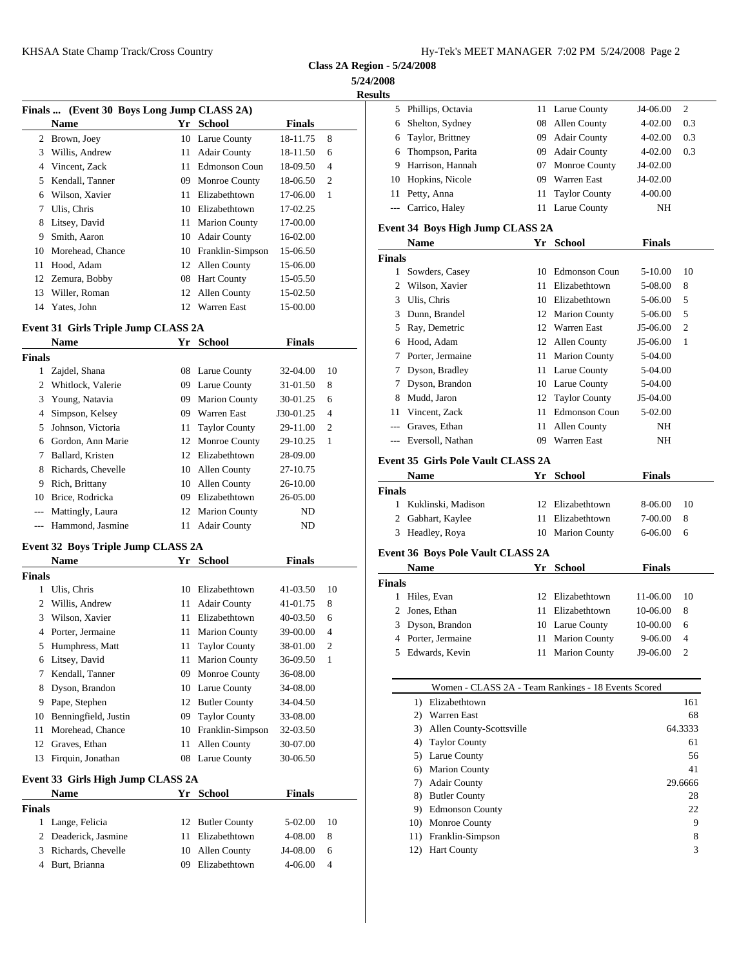**Class 2A Region - 5/24/2008**

## **5/24/2008 Results**

|    | Finals  (Event 30 Boys Long Jump CLASS 2A) |    |                      |               |                | 5.            | Phill                  |
|----|--------------------------------------------|----|----------------------|---------------|----------------|---------------|------------------------|
|    | <b>Name</b>                                |    | Yr School            | <b>Finals</b> |                | 6             | Shel                   |
| 2  | Brown, Joey                                |    | 10 Larue County      | 18-11.75      | 8              | 6             | Tayl                   |
| 3  | Willis, Andrew                             | 11 | <b>Adair County</b>  | 18-11.50      | 6              | 6             | Thoi                   |
| 4  | Vincent, Zack                              | 11 | <b>Edmonson Coun</b> | 18-09.50      | 4              | 9             | Harr                   |
| 5. | Kendall, Tanner                            | 09 | Monroe County        | 18-06.50      | $\overline{c}$ | 10            | Hop                    |
| 6  | Wilson, Xavier                             | 11 | Elizabethtown        | 17-06.00      | 1              | 11            | Petty                  |
| 7  | Ulis, Chris                                | 10 | Elizabethtown        | 17-02.25      |                |               | Carr                   |
| 8  | Litsey, David                              |    | 11 Marion County     | 17-00.00      |                | Event $34$    |                        |
| 9  | Smith, Aaron                               | 10 | <b>Adair County</b>  | 16-02.00      |                |               | Nan                    |
| 10 | Morehead, Chance                           |    | 10 Franklin-Simpson  | 15-06.50      |                | <b>Finals</b> |                        |
| 11 | Hood, Adam                                 | 12 | Allen County         | 15-06.00      |                |               | Sow                    |
|    | 12 Zemura, Bobby                           | 08 | <b>Hart County</b>   | 15-05.50      |                |               | 2 Wils                 |
| 13 | Willer, Roman                              | 12 | Allen County         | 15-02.50      |                | 3             |                        |
| 14 | Yates, John                                | 12 | Warren East          | 15-00.00      |                |               | Ulis.<br>$\sim$ $\sim$ |

## **Event 31 Girls Triple Jump CLASS 2A**

|          | <b>Name</b>         |    | Yr School            | <b>Finals</b> |                |               | 6 Hood, Ada           |
|----------|---------------------|----|----------------------|---------------|----------------|---------------|-----------------------|
| Finals   |                     |    |                      |               |                |               | 7 Porter, Jeri        |
|          | Zajdel, Shana       |    | 08 Larue County      | 32-04.00      | 10             |               | Dyson, Bra            |
|          | 2 Whitlock, Valerie | 09 | Larue County         | 31-01.50      | 8              |               | 7 Dyson, Bra          |
|          | 3 Young, Natavia    | 09 | <b>Marion County</b> | 30-01.25      | 6              |               | 8 Mudd, Jaro          |
|          | 4 Simpson, Kelsey   | 09 | Warren East          | J30-01.25     | $\overline{4}$ |               | 11 Vincent, Z         |
|          | 5 Johnson, Victoria |    | 11 Taylor County     | 29-11.00      | $\overline{2}$ |               | --- Graves, Et        |
|          | 6 Gordon, Ann Marie |    | 12 Monroe County     | 29-10.25      | - 1            |               | --- Eversoll, N       |
|          | Ballard, Kristen    |    | 12 Elizabethtown     | 28-09.00      |                |               | <b>Event 35 Girls</b> |
| 8.       | Richards, Chevelle  | 10 | Allen County         | 27-10.75      |                |               | <b>Name</b>           |
| 9        | Rich, Brittany      | 10 | Allen County         | 26-10.00      |                |               |                       |
| 10       | Brice, Rodricka     | 09 | Elizabethtown        | 26-05.00      |                | <b>Finals</b> |                       |
| $\cdots$ | Mattingly, Laura    | 12 | <b>Marion County</b> | ND            |                |               | Kuklinski,            |
| $\cdots$ | Hammond, Jasmine    | 11 | <b>Adair County</b>  | ND            |                |               | 2 Gabhart, K          |
|          |                     |    |                      |               |                |               | 3 Headley F           |

## **Event 32 Boys Triple Jump CLASS 2A**

|               | <b>Name</b>                       | Yr | School               | <b>Finals</b> |                | Event 36 B<br><b>Nam</b>             |
|---------------|-----------------------------------|----|----------------------|---------------|----------------|--------------------------------------|
| <b>Finals</b> |                                   |    |                      |               |                |                                      |
| 1             | Ulis, Chris                       | 10 | Elizabethtown        | 41-03.50      | 10             | <b>Finals</b>                        |
|               | Willis, Andrew                    | 11 | <b>Adair County</b>  | 41-01.75      | 8              | Hiles,                               |
| 3             | Wilson, Xavier                    | 11 | Elizabethtown        | 40-03.50      | 6              | $\mathcal{D}_{\mathcal{L}}$<br>Jones |
| 4             | Porter, Jermaine                  | 11 | <b>Marion County</b> | 39-00.00      | $\overline{4}$ | <b>Dyson</b><br>3                    |
| 5             | Humphress, Matt                   | 11 | <b>Taylor County</b> | 38-01.00      | $\overline{c}$ | Porter                               |
| 6             | Litsey, David                     | 11 | <b>Marion County</b> | 36-09.50      | 1              | Edwa<br>5                            |
|               | Kendall, Tanner                   | 09 | Monroe County        | 36-08.00      |                |                                      |
| 8             | Dyson, Brandon                    | 10 | Larue County         | 34-08.00      |                |                                      |
| 9             | Pape, Stephen                     | 12 | <b>Butler County</b> | 34-04.50      |                | 1)                                   |
| 10            | Benningfield, Justin              | 09 | <b>Taylor County</b> | 33-08.00      |                | 2)                                   |
| 11            | Morehead, Chance                  | 10 | Franklin-Simpson     | 32-03.50      |                | 3)                                   |
| 12            | Graves, Ethan                     | 11 | Allen County         | 30-07.00      |                | 4)                                   |
| 13            | Firquin, Jonathan                 |    | 08 Larue County      | 30-06.50      |                | 5)                                   |
|               |                                   |    |                      |               |                | 6)                                   |
|               | Event 33 Girls High Jump CLASS 2A |    |                      |               |                | 7)                                   |
|               | <b>Name</b>                       | Yr | <b>School</b>        | Finals        |                | 8)                                   |
| <b>Finals</b> |                                   |    |                      |               |                | 9)                                   |
| 1             | Lange, Felicia                    | 12 | <b>Butler County</b> | $5 - 02.00$   | 10             | 10)                                  |
|               | Deaderick, Jasmine                | 11 | Elizabethtown        | 4-08.00       | 8              | 11)                                  |
| 3             | Richards, Chevelle                |    | 10 Allen County      | J4-08.00      | 6              | 12)                                  |

Burt, Brianna 09 Elizabethtown 4-06.00 4

| ıь |                     |     |                     |             |     |
|----|---------------------|-----|---------------------|-------------|-----|
|    | 5 Phillips, Octavia |     | 11 Larue County     | J4-06.00    | 2   |
| 6  | Shelton, Sydney     | 08  | Allen County        | $4 - 02.00$ | 0.3 |
|    | 6 Taylor, Brittney  | 09. | <b>Adair County</b> | $4 - 02.00$ | 0.3 |
|    | 6 Thompson, Parita  | 09. | <b>Adair County</b> | $4 - 02.00$ | 0.3 |
| 9  | Harrison, Hannah    | 07  | Monroe County       | $J4-02.00$  |     |
| 10 | Hopkins, Nicole     | 09  | <b>Warren East</b>  | $J4-02.00$  |     |
| 11 | Petty, Anna         |     | 11 Taylor County    | 4-00.00     |     |
|    | --- Carrico, Haley  |     | 11 Larue County     | NH          |     |
|    |                     |     |                     |             |     |

## **Event 34 Boys High Jump CLASS 2A**

|        | Name             | Yr | <b>School</b>        | <b>Finals</b> |    |
|--------|------------------|----|----------------------|---------------|----|
| Finals |                  |    |                      |               |    |
| 1      | Sowders, Casey   | 10 | Edmonson Coun        | 5-10.00       | 10 |
|        | Wilson, Xavier   | 11 | Elizabethtown        | 5-08.00       | 8  |
| 3      | Ulis, Chris      | 10 | Elizabethtown        | 5-06.00       | 5  |
| 3      | Dunn, Brandel    | 12 | <b>Marion County</b> | 5-06.00       | .5 |
| 5.     | Ray, Demetric    | 12 | Warren East          | J5-06.00      | 2  |
| 6      | Hood, Adam       | 12 | Allen County         | J5-06.00      | -1 |
| 7      | Porter, Jermaine | 11 | <b>Marion County</b> | 5-04.00       |    |
|        | Dyson, Bradley   | 11 | Larue County         | 5-04.00       |    |
| 7      | Dyson, Brandon   | 10 | Larue County         | 5-04.00       |    |
| 8      | Mudd, Jaron      | 12 | <b>Taylor County</b> | J5-04.00      |    |
| 11     | Vincent, Zack    | 11 | Edmonson Coun        | 5-02.00       |    |
| ---    | Graves, Ethan    | 11 | Allen County         | NΗ            |    |
| ---    | Eversoll, Nathan | 09 | Warren East          | NΗ            |    |
|        |                  |    |                      |               |    |

#### **Event 35 Girls Pole Vault CLASS 2A**

| Name                 |  | Finals                                                                |     |
|----------------------|--|-----------------------------------------------------------------------|-----|
| Finals               |  |                                                                       |     |
| 1 Kuklinski, Madison |  | 8-06.00                                                               | -10 |
| 2 Gabhart, Kaylee    |  | 7-00.00                                                               | - 8 |
| 3 Headley, Roya      |  | 6-06.00                                                               | -6  |
|                      |  | Yr School<br>12 Elizabethtown<br>11 Elizabethtown<br>10 Marion County |     |

#### **Event 36 Boys Pole Vault CLASS 2A**

|        | <b>Name</b>        |     | Yr School        | <b>Finals</b> |                |
|--------|--------------------|-----|------------------|---------------|----------------|
| Finals |                    |     |                  |               |                |
|        | Hiles, Evan        |     | 12 Elizabethtown | 11-06.00      | 10             |
|        | 2 Jones, Ethan     | 11. | Elizabethtown    | 10-06.00      | 8              |
|        | 3 Dyson, Brandon   |     | 10 Larue County  | 10-00.00      | 6              |
|        | 4 Porter, Jermaine |     | 11 Marion County | 9-06.00       | $\overline{4}$ |
|        | 5 Edwards, Kevin   |     | 11 Marion County | J9-06.00      | $\mathcal{D}$  |
|        |                    |     |                  |               |                |

|     | Women - CLASS 2A - Team Rankings - 18 Events Scored |         |
|-----|-----------------------------------------------------|---------|
| 1)  | Elizabethtown                                       | 161     |
| 2)  | Warren East                                         | 68      |
| 3)  | Allen County-Scottsville                            | 64.3333 |
| 4)  | <b>Taylor County</b>                                | 61      |
| 5)  | Larue County                                        | 56      |
| 6)  | <b>Marion County</b>                                | 41      |
| 7)  | <b>Adair County</b>                                 | 29.6666 |
| 8)  | <b>Butler County</b>                                | 28      |
| 9)  | <b>Edmonson County</b>                              | 22      |
|     | 10) Monroe County                                   | 9       |
|     | 11) Franklin-Simpson                                | 8       |
| 12) | <b>Hart County</b>                                  | 3       |
|     |                                                     |         |